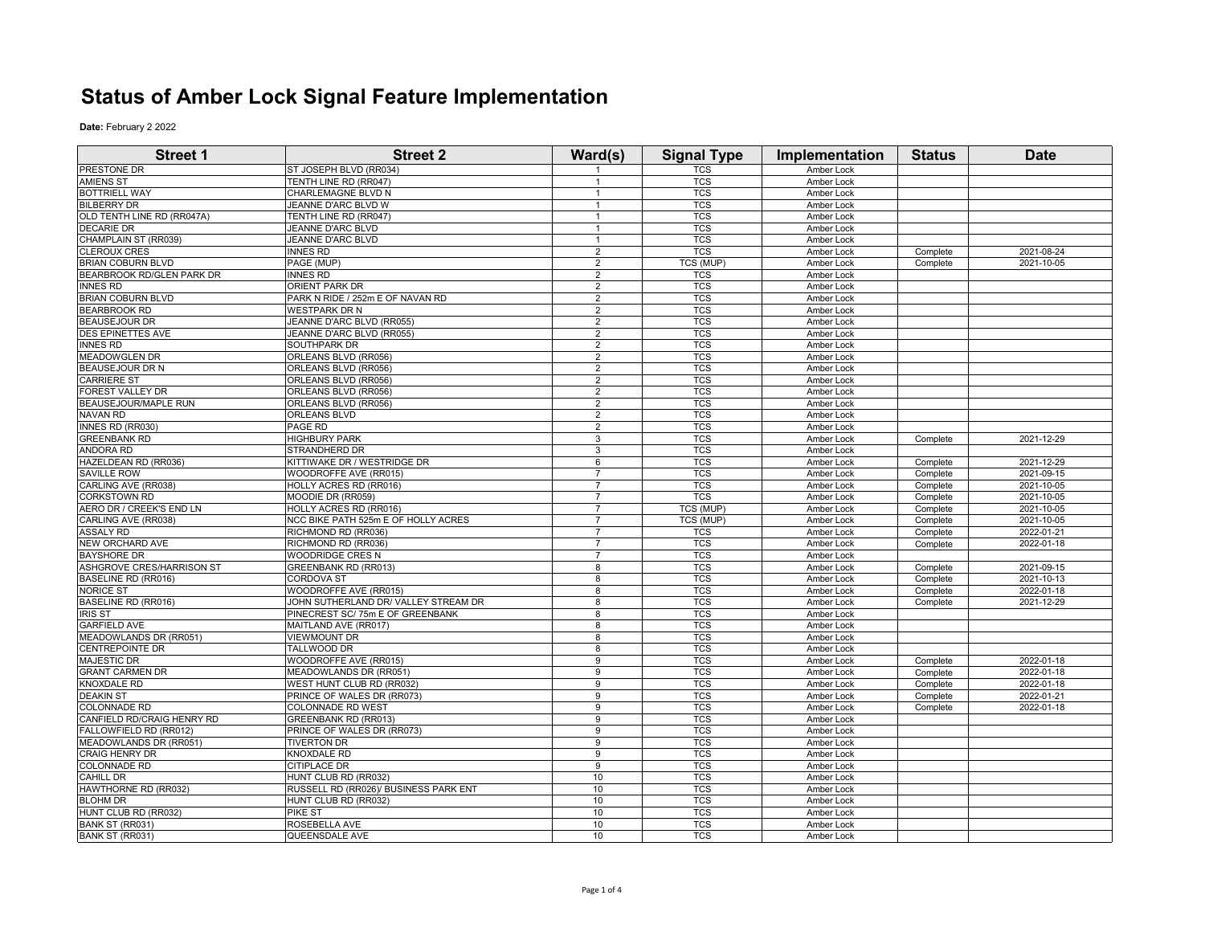## **Status of Amber Lock Signal Feature Implementation**

**Date:** February 2 2022

| <b>Street 1</b>             | <b>Street 2</b>                       | Ward(s)        | <b>Signal Type</b> | Implementation | <b>Status</b> | <b>Date</b> |
|-----------------------------|---------------------------------------|----------------|--------------------|----------------|---------------|-------------|
| PRESTONE DR                 | ST JOSEPH BLVD (RR034)                |                | TCS                | Amber Lock     |               |             |
| <b>AMIENS ST</b>            | TENTH LINE RD (RR047)                 |                | <b>TCS</b>         | Amber Lock     |               |             |
| <b>BOTTRIELL WAY</b>        | CHARLEMAGNE BLVD N                    |                | <b>TCS</b>         | Amber Lock     |               |             |
| <b>BILBERRY DR</b>          | JEANNE D'ARC BLVD W                   | $\overline{1}$ | <b>TCS</b>         | Amber Lock     |               |             |
| OLD TENTH LINE RD (RR047A)  | TENTH LINE RD (RR047)                 | $\overline{1}$ | <b>TCS</b>         | Amber Lock     |               |             |
| <b>DECARIE DR</b>           | JEANNE D'ARC BLVD                     | $\mathbf{1}$   | <b>TCS</b>         | Amber Lock     |               |             |
| CHAMPLAIN ST (RR039)        | JEANNE D'ARC BLVD                     | $\overline{1}$ | <b>TCS</b>         | Amber Lock     |               |             |
| <b>CLEROUX CRES</b>         | <b>INNES RD</b>                       | $\overline{2}$ | <b>TCS</b>         | Amber Lock     | Complete      | 2021-08-24  |
| <b>BRIAN COBURN BLVD</b>    | PAGE (MUP)                            | $\overline{2}$ | <b>TCS (MUP)</b>   | Amber Lock     | Complete      | 2021-10-05  |
| BEARBROOK RD/GLEN PARK DR   | <b>INNES RD</b>                       | $\overline{2}$ | <b>TCS</b>         | Amber Lock     |               |             |
| <b>INNES RD</b>             | <b>ORIENT PARK DR</b>                 | $\overline{2}$ | <b>TCS</b>         | Amber Lock     |               |             |
| <b>BRIAN COBURN BLVD</b>    | PARK N RIDE / 252m E OF NAVAN RD      | $\sqrt{2}$     | <b>TCS</b>         | Amber Lock     |               |             |
| <b>BEARBROOK RD</b>         | <b>WESTPARK DR N</b>                  | $\overline{2}$ | <b>TCS</b>         | Amber Lock     |               |             |
| <b>BEAUSEJOUR DR</b>        | JEANNE D'ARC BLVD (RR055)             | $\overline{2}$ | <b>TCS</b>         | Amber Lock     |               |             |
| <b>DES EPINETTES AVE</b>    | JEANNE D'ARC BLVD (RR055)             | $\overline{2}$ | TCS                | Amber Lock     |               |             |
| <b>INNES RD</b>             | SOUTHPARK DR                          | $\overline{2}$ | <b>TCS</b>         | Amber Lock     |               |             |
| <b>MEADOWGLEN DR</b>        | ORLEANS BLVD (RR056)                  | $\overline{2}$ | <b>TCS</b>         | Amber Lock     |               |             |
| <b>BEAUSEJOUR DR N</b>      | ORLEANS BLVD (RR056)                  | $\overline{2}$ | <b>TCS</b>         | Amber Lock     |               |             |
| <b>CARRIERE ST</b>          | ORLEANS BLVD (RR056)                  | $\overline{2}$ | <b>TCS</b>         | Amber Lock     |               |             |
| FOREST VALLEY DR            | ORLEANS BLVD (RR056)                  | $\overline{2}$ | <b>TCS</b>         | Amber Lock     |               |             |
| <b>BEAUSEJOUR/MAPLE RUN</b> | ORLEANS BLVD (RR056)                  | $\overline{2}$ | <b>TCS</b>         | Amber Lock     |               |             |
| <b>NAVAN RD</b>             | <b>ORLEANS BLVD</b>                   | $\overline{2}$ | <b>TCS</b>         | Amber Lock     |               |             |
| INNES RD (RR030)            | PAGE RD                               | $\overline{2}$ | <b>TCS</b>         | Amber Lock     |               |             |
| <b>GREENBANK RD</b>         | <b>HIGHBURY PARK</b>                  | 3              | <b>TCS</b>         | Amber Lock     | Complete      | 2021-12-29  |
| <b>ANDORA RD</b>            | <b>STRANDHERD DR</b>                  | 3              | <b>TCS</b>         | Amber Lock     |               |             |
| HAZELDEAN RD (RR036)        | KITTIWAKE DR / WESTRIDGE DR           | 6              | <b>TCS</b>         | Amber Lock     | Complete      | 2021-12-29  |
| <b>SAVILLE ROW</b>          | WOODROFFE AVE (RR015)                 | $\overline{7}$ | <b>TCS</b>         | Amber Lock     | Complete      | 2021-09-15  |
| CARLING AVE (RR038)         | HOLLY ACRES RD (RR016)                | $\overline{7}$ | <b>TCS</b>         | Amber Lock     | Complete      | 2021-10-05  |
| <b>CORKSTOWN RD</b>         | MOODIE DR (RR059)                     | $\overline{7}$ | <b>TCS</b>         | Amber Lock     | Complete      | 2021-10-05  |
| AERO DR / CREEK'S END LN    | HOLLY ACRES RD (RR016)                | $\overline{7}$ | TCS (MUP)          | Amber Lock     | Complete      | 2021-10-05  |
| CARLING AVE (RR038)         | NCC BIKE PATH 525m E OF HOLLY ACRES   | $\overline{7}$ | TCS (MUP)          | Amber Lock     | Complete      | 2021-10-05  |
| ASSALY RD                   | RICHMOND RD (RR036)                   | $\overline{7}$ | TCS                | Amber Lock     | Complete      | 2022-01-21  |
| NEW ORCHARD AVE             | RICHMOND RD (RR036)                   | $\overline{7}$ | <b>TCS</b>         | Amber Lock     | Complete      | 2022-01-18  |
| <b>BAYSHORE DR</b>          | <b>WOODRIDGE CRES N</b>               |                | <b>TCS</b>         | Amber Lock     |               |             |
| ASHGROVE CRES/HARRISON ST   | <b>GREENBANK RD (RR013)</b>           | 8              | <b>TCS</b>         | Amber Lock     | Complete      | 2021-09-15  |
| BASELINE RD (RR016)         | <b>CORDOVA ST</b>                     | 8              | <b>TCS</b>         | Amber Lock     | Complete      | 2021-10-13  |
| <b>NORICE ST</b>            | WOODROFFE AVE (RR015)                 | 8              | <b>TCS</b>         | Amber Lock     | Complete      | 2022-01-18  |
| BASELINE RD (RR016)         | JOHN SUTHERLAND DR/ VALLEY STREAM DR  | 8              | <b>TCS</b>         | Amber Lock     | Complete      | 2021-12-29  |
| <b>IRIS ST</b>              | PINECREST SC/75m E OF GREENBANK       | $\overline{8}$ | <b>TCS</b>         | Amber Lock     |               |             |
| <b>GARFIELD AVE</b>         | MAITLAND AVE (RR017)                  | 8              | <b>TCS</b>         | Amber Lock     |               |             |
| MEADOWLANDS DR (RR051)      | <b>VIEWMOUNT DR</b>                   | 8              | <b>TCS</b>         | Amber Lock     |               |             |
| <b>CENTREPOINTE DR</b>      | TALLWOOD DR                           | 8              | <b>TCS</b>         | Amber Lock     |               |             |
| <b>MAJESTIC DR</b>          | WOODROFFE AVE (RR015)                 | 9              | <b>TCS</b>         | Amber Lock     | Complete      | 2022-01-18  |
| <b>GRANT CARMEN DR</b>      | MEADOWLANDS DR (RR051)                | 9              | <b>TCS</b>         | Amber Lock     | Complete      | 2022-01-18  |
| <b>KNOXDALE RD</b>          | WEST HUNT CLUB RD (RR032)             | 9              | <b>TCS</b>         | Amber Lock     | Complete      | 2022-01-18  |
| <b>DEAKIN ST</b>            | PRINCE OF WALES DR (RR073)            | 9              | <b>TCS</b>         | Amber Lock     | Complete      | 2022-01-21  |
| <b>COLONNADE RD</b>         | <b>COLONNADE RD WEST</b>              | 9              | <b>TCS</b>         | Amber Lock     | Complete      | 2022-01-18  |
| CANFIELD RD/CRAIG HENRY RD  | <b>GREENBANK RD (RR013)</b>           | 9              | <b>TCS</b>         | Amber Lock     |               |             |
| FALLOWFIELD RD (RR012)      | PRINCE OF WALES DR (RR073)            | 9              | <b>TCS</b>         | Amber Lock     |               |             |
| MEADOWLANDS DR (RR051)      | <b>TIVERTON DR</b>                    | 9              | <b>TCS</b>         | Amber Lock     |               |             |
| <b>CRAIG HENRY DR</b>       | <b>KNOXDALE RD</b>                    | 9              | <b>TCS</b>         | Amber Lock     |               |             |
| <b>COLONNADE RD</b>         | <b>CITIPLACE DR</b>                   | 9              | <b>TCS</b>         | Amber Lock     |               |             |
| CAHILL DR                   | HUNT CLUB RD (RR032)                  | 10             | <b>TCS</b>         | Amber Lock     |               |             |
| HAWTHORNE RD (RR032)        | RUSSELL RD (RR026)/ BUSINESS PARK ENT | 10             | <b>TCS</b>         | Amber Lock     |               |             |
| <b>BLOHM DR</b>             | HUNT CLUB RD (RR032)                  | 10             | <b>TCS</b>         | Amber Lock     |               |             |
| HUNT CLUB RD (RR032)        | <b>PIKE ST</b>                        | 10             | <b>TCS</b>         | Amber Lock     |               |             |
| BANK ST (RR031)             | ROSEBELLA AVE                         | 10             | <b>TCS</b>         | Amber Lock     |               |             |
| BANK ST (RR031)             | QUEENSDALE AVE                        | 10             | <b>TCS</b>         | Amber Lock     |               |             |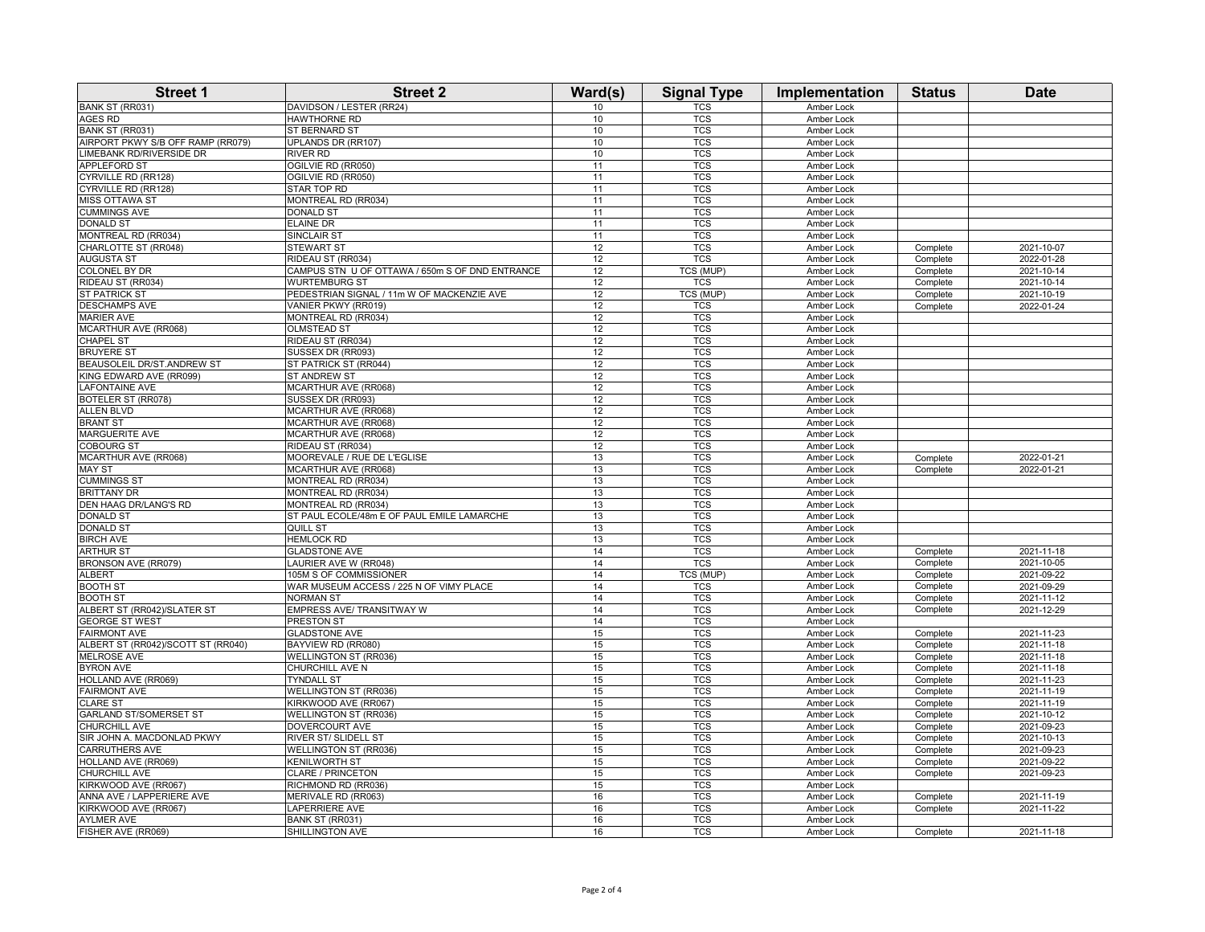| <b>Street 1</b>                           | <b>Street 2</b>                                 | Ward(s)  | <b>Signal Type</b>       | Implementation           | <b>Status</b>        | <b>Date</b> |
|-------------------------------------------|-------------------------------------------------|----------|--------------------------|--------------------------|----------------------|-------------|
| BANK ST (RR031)                           | DAVIDSON / LESTER (RR24)                        | 10       | $\overline{\text{TCS}}$  | <b>Amber Lock</b>        |                      |             |
| AGES RD                                   | HAWTHORNE RD                                    | 10       | TCS                      | Amber Lock               |                      |             |
| <b>BANK ST (RR031)</b>                    | ST BERNARD ST                                   | 10       | <b>TCS</b>               | Amber Lock               |                      |             |
| AIRPORT PKWY S/B OFF RAMP (RR079)         | UPLANDS DR (RR107)                              | 10       | <b>TCS</b>               | <b>Amber Lock</b>        |                      |             |
| LIMEBANK RD/RIVERSIDE DR                  | RIVER RD                                        | 10       | <b>TCS</b>               | Amber Lock               |                      |             |
| APPLEFORD ST                              | OGILVIE RD (RR050)                              | 11       | <b>TCS</b>               | Amber Lock               |                      |             |
| CYRVILLE RD (RR128)                       | OGILVIE RD (RR050)                              | 11       | <b>TCS</b>               | Amber Lock               |                      |             |
| CYRVILLE RD (RR128)                       | STAR TOP RD                                     | 11       | <b>TCS</b>               | Amber Lock               |                      |             |
| MISS OTTAWA ST                            | MONTREAL RD (RR034)                             | 11       | <b>TCS</b>               | Amber Lock               |                      |             |
| <b>CUMMINGS AVE</b>                       | DONALD ST                                       | 11       | <b>TCS</b>               | Amber Lock               |                      |             |
| <b>DONALD ST</b>                          | <b>ELAINE DR</b>                                | 11       | <b>TCS</b>               | Amber Lock               |                      |             |
| MONTREAL RD (RR034)                       | SINCLAIR ST                                     | 11       | <b>TCS</b>               | Amber Lock               |                      |             |
| CHARLOTTE ST (RR048)                      | <b>STEWART ST</b>                               | 12       | <b>TCS</b>               | Amber Lock               | Complete             | 2021-10-07  |
| <b>AUGUSTA ST</b>                         | RIDEAU ST (RR034)                               | 12       | TCS                      | Amber Lock               | Complete             | 2022-01-28  |
| COLONEL BY DR                             | CAMPUS STN U OF OTTAWA / 650m S OF DND ENTRANCE | 12       | TCS (MUP)                | Amber Lock               | Complete             | 2021-10-14  |
| RIDEAU ST (RR034)                         | WURTEMBURG ST                                   | 12       | <b>TCS</b>               | Amber Lock               | Complete             | 2021-10-14  |
| <b>ST PATRICK ST</b>                      | PEDESTRIAN SIGNAL / 11m W OF MACKENZIE AVE      | 12       | TCS (MUP)                | Amber Lock               | Complete             | 2021-10-19  |
| <b>DESCHAMPS AVE</b>                      | VANIER PKWY (RR019)                             | 12       | TCS                      | Amber Lock               | Complete             | 2022-01-24  |
| <b>MARIER AVE</b>                         | MONTREAL RD (RR034)                             | 12       | <b>TCS</b>               | Amber Lock               |                      |             |
| MCARTHUR AVE (RR068)                      | <b>OLMSTEAD ST</b>                              | 12       | <b>TCS</b>               | Amber Lock               |                      |             |
| <b>CHAPEL ST</b>                          | RIDEAU ST (RR034)                               | 12       | <b>TCS</b>               | Amber Lock               |                      |             |
| <b>BRUYERE ST</b>                         | SUSSEX DR (RR093)                               | 12       | <b>TCS</b>               | Amber Lock               |                      |             |
| BEAUSOLEIL DR/ST.ANDREW ST                | ST PATRICK ST (RR044)                           | 12       | <b>TCS</b>               | Amber Lock               |                      |             |
| KING EDWARD AVE (RR099)                   | ST ANDREW ST                                    | 12       | <b>TCS</b>               | Amber Lock               |                      |             |
| LAFONTAINE AVE                            | MCARTHUR AVE (RR068)                            | 12       | <b>TCS</b>               | Amber Lock               |                      |             |
| BOTELER ST (RR078)                        | SUSSEX DR (RR093)                               | 12       | <b>TCS</b>               | Amber Lock               |                      |             |
| <b>ALLEN BLVD</b>                         | MCARTHUR AVE (RR068)                            | 12       | <b>TCS</b>               | Amber Lock               |                      |             |
| <b>BRANT ST</b><br><b>MARGUERITE AVE</b>  | MCARTHUR AVE (RR068)                            | 12       | <b>TCS</b><br><b>TCS</b> | Amber Lock               |                      |             |
|                                           | MCARTHUR AVE (RR068)<br>RIDEAU ST (RR034)       | 12<br>12 | <b>TCS</b>               | Amber Lock               |                      |             |
| <b>COBOURG ST</b><br>MCARTHUR AVE (RR068) | MOOREVALE / RUE DE L'EGLISE                     | 13       | <b>TCS</b>               | Amber Lock               |                      | 2022-01-21  |
| <b>MAY ST</b>                             | MCARTHUR AVE (RR068)                            | 13       | <b>TCS</b>               | Amber Lock<br>Amber Lock | Complete<br>Complete | 2022-01-21  |
| <b>CUMMINGS ST</b>                        | MONTREAL RD (RR034)                             | 13       | TCS                      | Amber Lock               |                      |             |
| <b>BRITTANY DR</b>                        | MONTREAL RD (RR034)                             | 13       | <b>TCS</b>               | Amber Lock               |                      |             |
| <b>DEN HAAG DR/LANG'S RD</b>              | MONTREAL RD (RR034)                             | 13       | TCS                      | Amber Lock               |                      |             |
| <b>DONALD ST</b>                          | ST PAUL ECOLE/48m E OF PAUL EMILE LAMARCHE      | 13       | <b>TCS</b>               | Amber Lock               |                      |             |
| <b>DONALD ST</b>                          | QUILL ST                                        | 13       | <b>TCS</b>               | Amber Lock               |                      |             |
| <b>BIRCH AVE</b>                          | <b>HEMLOCK RD</b>                               | 13       | <b>TCS</b>               | Amber Lock               |                      |             |
| <b>ARTHUR ST</b>                          | <b>GLADSTONE AVE</b>                            | 14       | <b>TCS</b>               | Amber Lock               | Complete             | 2021-11-18  |
| BRONSON AVE (RR079)                       | LAURIER AVE W (RR048)                           | 14       | <b>TCS</b>               | Amber Lock               | Complete             | 2021-10-05  |
| <b>ALBERT</b>                             | 105M S OF COMMISSIONER                          | 14       | <b>TCS (MUP)</b>         | Amber Lock               | Complete             | 2021-09-22  |
| <b>BOOTH ST</b>                           | WAR MUSEUM ACCESS / 225 N OF VIMY PLACE         | 14       | <b>TCS</b>               | Amber Lock               | Complete             | 2021-09-29  |
| <b>BOOTH ST</b>                           | <b>NORMAN ST</b>                                | 14       | <b>TCS</b>               | Amber Lock               | Complete             | 2021-11-12  |
| ALBERT ST (RR042)/SLATER ST               | EMPRESS AVE/ TRANSITWAY W                       | 14       | <b>TCS</b>               | Amber Lock               | Complete             | 2021-12-29  |
| <b>GEORGE ST WEST</b>                     | <b>PRESTON ST</b>                               | 14       | <b>TCS</b>               | Amber Lock               |                      |             |
| <b>FAIRMONT AVE</b>                       | <b>GLADSTONE AVE</b>                            | 15       | <b>TCS</b>               | Amber Lock               | Complete             | 2021-11-23  |
| ALBERT ST (RR042)/SCOTT ST (RR040)        | BAYVIEW RD (RR080)                              | 15       | <b>TCS</b>               | Amber Lock               | Complete             | 2021-11-18  |
| <b>MELROSE AVE</b>                        | <b>WELLINGTON ST (RR036)</b>                    | 15       | <b>TCS</b>               | Amber Lock               | Complete             | 2021-11-18  |
| <b>BYRON AVE</b>                          | CHURCHILL AVE N                                 | 15       | <b>TCS</b>               | Amber Lock               | Complete             | 2021-11-18  |
| HOLLAND AVE (RR069)                       | <b>TYNDALL ST</b>                               | 15       | <b>TCS</b>               | Amber Lock               | Complete             | 2021-11-23  |
| <b>FAIRMONT AVE</b>                       | <b>WELLINGTON ST (RR036)</b>                    | 15       | TCS                      | Amber Lock               | Complete             | 2021-11-19  |
| <b>CLARE ST</b>                           | KIRKWOOD AVE (RR067                             | 15       | <b>TCS</b>               | Amber Lock               | Complete             | 2021-11-19  |
| <b>GARLAND ST/SOMERSET ST</b>             | <b>WELLINGTON ST (RR036)</b>                    | 15       | <b>TCS</b>               | Amber Lock               | Complete             | 2021-10-12  |
| CHURCHILL AVE                             | DOVERCOURT AVE                                  | 15       | <b>TCS</b>               | Amber Lock               | Complete             | 2021-09-23  |
| SIR JOHN A. MACDONLAD PKWY                | RIVER ST/ SLIDELL ST                            | 15       | <b>TCS</b>               | Amber Lock               | Complete             | 2021-10-13  |
| <b>CARRUTHERS AVE</b>                     | WELLINGTON ST (RR036)                           | 15       | <b>TCS</b>               | Amber Lock               | Complete             | 2021-09-23  |
| HOLLAND AVE (RR069)                       | KENILWORTH ST                                   | 15       | <b>TCS</b>               | Amber Lock               | Complete             | 2021-09-22  |
| CHURCHILL AVE                             | <b>CLARE / PRINCETON</b>                        | 15       | <b>TCS</b>               | Amber Lock               | Complete             | 2021-09-23  |
| KIRKWOOD AVE (RR067)                      | RICHMOND RD (RR036)                             | 15       | <b>TCS</b>               | Amber Lock               |                      |             |
| ANNA AVE / LAPPERIERE AVE                 | MERIVALE RD (RR063)                             | 16       | <b>TCS</b>               | Amber Lock               | Complete             | 2021-11-19  |
| KIRKWOOD AVE (RR067)                      | LAPERRIERE AVE                                  | 16       | <b>TCS</b>               | Amber Lock               | Complete             | 2021-11-22  |
| <b>AYLMER AVE</b>                         | BANK ST (RR031)                                 | 16       | TCS                      | Amber Lock               |                      |             |
| FISHER AVE (RR069)                        | SHILLINGTON AVE                                 | 16       | <b>TCS</b>               | Amber Lock               | Complete             | 2021-11-18  |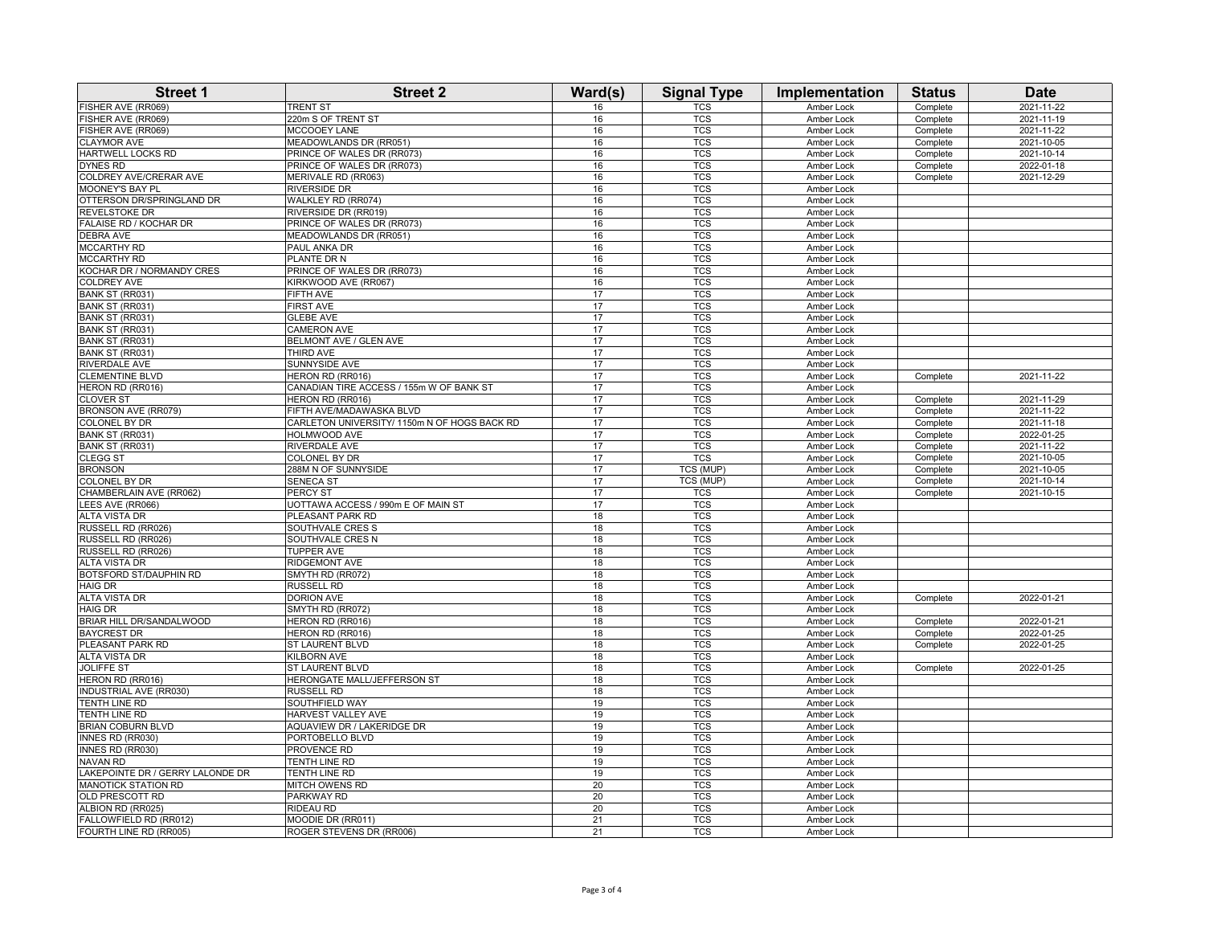| FISHER AVE (RR069)<br><b>TRENT ST</b><br>16<br>TCS<br>Complete<br>220m S OF TRENT ST<br><b>TCS</b><br>2021-11-19<br>FISHER AVE (RR069)<br>16<br>Amber Lock<br>Complete<br>FISHER AVE (RR069)<br>MCCOOEY LANE<br><b>TCS</b><br>Complete<br>2021-11-22<br>16<br>Amber Lock<br><b>CLAYMOR AVE</b><br>MEADOWLANDS DR (RR051)<br><b>TCS</b><br>Complete<br>2021-10-05<br>16<br>Amber Lock<br>HARTWELL LOCKS RD<br>PRINCE OF WALES DR (RR073)<br>16<br><b>TCS</b><br>2021-10-14<br>Amber Lock<br>Complete<br>DYNES RD<br>PRINCE OF WALES DR (RR073)<br>16<br><b>TCS</b><br>2022-01-18<br>Amber Lock<br>Complete<br>COLDREY AVE/CRERAR AVE<br>MERIVALE RD (RR063)<br>16<br><b>TCS</b><br>Amber Lock<br>Complete<br>2021-12-29<br>16<br><b>TCS</b><br><b>MOONEY'S BAY PL</b><br>RIVERSIDE DR<br>Amber Lock<br>OTTERSON DR/SPRINGLAND DR<br>WALKLEY RD (RR074)<br>16<br><b>TCS</b><br>Amber Lock<br>RIVERSIDE DR (RR019)<br><b>TCS</b><br>REVELSTOKE DR<br>16<br>Amber Lock<br>FALAISE RD / KOCHAR DR<br>PRINCE OF WALES DR (RR073)<br>16<br><b>TCS</b><br>Amber Lock<br>DEBRA AVE<br>MEADOWLANDS DR (RR051)<br><b>TCS</b><br>16<br>Amber Lock<br><b>MCCARTHY RD</b><br>16<br><b>TCS</b><br>PAUL ANKA DR<br><b>Amber Lock</b><br>MCCARTHY RD<br><b>TCS</b><br>PLANTE DR N<br>16<br>Amber Lock<br>KOCHAR DR / NORMANDY CRES<br>PRINCE OF WALES DR (RR073)<br><b>TCS</b><br>16<br>Amber Lock<br>KIRKWOOD AVE (RR067)<br><b>TCS</b><br><b>COLDREY AVE</b><br>16<br>Amber Lock<br>BANK ST (RR031)<br>FIFTH AVE<br>17<br><b>TCS</b><br>Amber Lock<br>BANK ST (RR031)<br><b>FIRST AVE</b><br>17<br><b>TCS</b><br>Amber Lock<br>17<br>BANK ST (RR031)<br><b>GLEBE AVE</b><br><b>TCS</b><br>Amber Lock<br>17<br><b>TCS</b><br>BANK ST (RR031)<br><b>CAMERON AVE</b><br>Amber Lock<br>BELMONT AVE / GLEN AVE<br><b>TCS</b><br>BANK ST (RR031)<br>17<br>Amber Lock<br>17<br><b>TCS</b><br>BANK ST (RR031)<br>THIRD AVE<br>Amber Lock<br>RIVERDALE AVE<br>SUNNYSIDE AVE<br>17<br><b>TCS</b><br>Amber Lock<br><b>CLEMENTINE BLVD</b><br>HERON RD (RR016)<br>17<br><b>TCS</b><br>2021-11-22<br>Amber Lock<br>Complete<br>HERON RD (RR016)<br>CANADIAN TIRE ACCESS / 155m W OF BANK ST<br>17<br><b>TCS</b><br>Amber Lock<br>2021-11-29<br><b>CLOVER ST</b><br>HERON RD (RR016)<br>17<br><b>TCS</b><br>Amber Lock<br>Complete<br><b>TCS</b><br>BRONSON AVE (RR079)<br>FIFTH AVE/MADAWASKA BLVD<br>17<br>Complete<br>2021-11-22<br>Amber Lock<br>COLONEL BY DR<br>CARLETON UNIVERSITY/ 1150m N OF HOGS BACK RD<br>17<br><b>TCS</b><br>Amber Lock<br>Complete<br>2021-11-18<br><b>TCS</b><br>2022-01-25<br>BANK ST (RR031)<br>HOLMWOOD AVE<br>17<br>Amber Lock<br>Complete<br><b>TCS</b><br>BANK ST (RR031)<br>RIVERDALE AVE<br>17<br>2021-11-22<br>Amber Lock<br>Complete<br><b>COLONEL BY DR</b><br>17<br>TCS<br>CLEGG ST<br>Amber Lock<br>Complete<br>2021-10-05<br><b>BRONSON</b><br>288M N OF SUNNYSIDE<br>17<br>TCS (MUP)<br>Amber Lock<br>Complete<br>2021-10-05<br>17<br><b>TCS (MUP)</b><br>COLONEL BY DR<br>SENECA ST<br>Amber Lock<br>Complete<br>2021-10-14<br>CHAMBERLAIN AVE (RR062)<br>PERCY ST<br>17<br><b>TCS</b><br>2021-10-15<br>Amber Lock<br>Complete<br>UOTTAWA ACCESS / 990m E OF MAIN ST<br><b>TCS</b><br>LEES AVE (RR066)<br>17<br>Amber Lock<br><b>ALTA VISTA DR</b><br>PLEASANT PARK RD<br>18<br>TCS<br>Amber Lock<br><b>TCS</b><br>RUSSELL RD (RR026)<br>SOUTHVALE CRES S<br>18<br>Amber Lock<br>SOUTHVALE CRES N<br>18<br><b>TCS</b><br>RUSSELL RD (RR026)<br>Amber Lock<br>RUSSELL RD (RR026)<br><b>TUPPER AVE</b><br><b>TCS</b><br>18<br>Amber Lock<br>18<br><b>TCS</b><br><b>ALTA VISTA DR</b><br>RIDGEMONT AVE<br>Amber Lock<br>BOTSFORD ST/DAUPHIN RD<br>SMYTH RD (RR072)<br>18<br>TCS<br><b>Amber Lock</b><br><b>HAIG DR</b><br>RUSSELL RD<br>18<br><b>TCS</b><br>Amber Lock<br><b>ALTA VISTA DR</b><br><b>DORION AVE</b><br>18<br><b>TCS</b><br>2022-01-21<br>Amber Lock<br>Complete<br><b>HAIG DR</b><br>SMYTH RD (RR072)<br>18<br><b>TCS</b><br>Amber Lock<br>BRIAR HILL DR/SANDALWOOD<br><b>TCS</b><br>2022-01-21<br>HERON RD (RR016)<br>18<br>Amber Lock<br>Complete<br><b>BAYCREST DR</b><br>18<br><b>TCS</b><br>2022-01-25<br>HERON RD (RR016)<br>Amber Lock<br>Complete<br>PLEASANT PARK RD<br><b>ST LAURENT BLVD</b><br>TCS<br>18<br>Amber Lock<br>Complete<br>2022-01-25<br><b>ALTA VISTA DR</b><br>18<br><b>TCS</b><br>KILBORN AVE<br>Amber Lock<br>18<br><b>TCS</b><br><b>JOLIFFE ST</b><br>ST LAURENT BLVD<br>Amber Lock<br>2022-01-25<br>Complete<br>HERON RD (RR016)<br>HERONGATE MALL/JEFFERSON ST<br>18<br><b>TCS</b><br>Amber Lock<br>18<br><b>TCS</b><br>INDUSTRIAL AVE (RR030)<br>RUSSELL RD<br>Amber Lock<br>SOUTHFIELD WAY<br>19<br>TCS<br>TENTH LINE RD<br>Amber Lock<br><b>TCS</b><br>TENTH LINE RD<br>HARVEST VALLEY AVE<br>19<br>Amber Lock<br><b>BRIAN COBURN BLVD</b><br>AQUAVIEW DR / LAKERIDGE DR<br>19<br><b>TCS</b><br>Amber Lock<br>INNES RD (RR030)<br>PORTOBELLO BLVD<br>19<br><b>TCS</b><br>Amber Lock<br>19<br><b>TCS</b><br>INNES RD (RR030)<br>PROVENCE RD<br>Amber Lock<br>19<br><b>TCS</b><br><b>NAVAN RD</b><br>TENTH LINE RD<br>Amber Lock<br>LAKEPOINTE DR / GERRY LALONDE DR<br>19<br><b>TCS</b><br>TENTH LINE RD<br>Amber Lock<br>20<br><b>MANOTICK STATION RD</b><br><b>TCS</b><br>MITCH OWENS RD<br>Amber Lock<br>OLD PRESCOTT RD<br>PARKWAY RD<br>20<br><b>TCS</b><br>Amber Lock<br>ALBION RD (RR025)<br>RIDEAU RD<br>20<br><b>TCS</b><br>Amber Lock<br>MOODIE DR (RR011)<br>21<br>FALLOWFIELD RD (RR012)<br><b>TCS</b><br>Amber Lock<br>FOURTH LINE RD (RR005)<br>ROGER STEVENS DR (RR006)<br>21<br><b>TCS</b><br>Amber Lock | <b>Street 1</b> | <b>Street 2</b> | Ward(s) | <b>Signal Type</b> | Implementation    | <b>Status</b> | <b>Date</b> |
|-----------------------------------------------------------------------------------------------------------------------------------------------------------------------------------------------------------------------------------------------------------------------------------------------------------------------------------------------------------------------------------------------------------------------------------------------------------------------------------------------------------------------------------------------------------------------------------------------------------------------------------------------------------------------------------------------------------------------------------------------------------------------------------------------------------------------------------------------------------------------------------------------------------------------------------------------------------------------------------------------------------------------------------------------------------------------------------------------------------------------------------------------------------------------------------------------------------------------------------------------------------------------------------------------------------------------------------------------------------------------------------------------------------------------------------------------------------------------------------------------------------------------------------------------------------------------------------------------------------------------------------------------------------------------------------------------------------------------------------------------------------------------------------------------------------------------------------------------------------------------------------------------------------------------------------------------------------------------------------------------------------------------------------------------------------------------------------------------------------------------------------------------------------------------------------------------------------------------------------------------------------------------------------------------------------------------------------------------------------------------------------------------------------------------------------------------------------------------------------------------------------------------------------------------------------------------------------------------------------------------------------------------------------------------------------------------------------------------------------------------------------------------------------------------------------------------------------------------------------------------------------------------------------------------------------------------------------------------------------------------------------------------------------------------------------------------------------------------------------------------------------------------------------------------------------------------------------------------------------------------------------------------------------------------------------------------------------------------------------------------------------------------------------------------------------------------------------------------------------------------------------------------------------------------------------------------------------------------------------------------------------------------------------------------------------------------------------------------------------------------------------------------------------------------------------------------------------------------------------------------------------------------------------------------------------------------------------------------------------------------------------------------------------------------------------------------------------------------------------------------------------------------------------------------------------------------------------------------------------------------------------------------------------------------------------------------------------------------------------------------------------------------------------------------------------------------------------------------------------------------------------------------------------------------------------------------------------------------------------------------------------------------------------------------------------------------------------------------------------------------------------------------------------------------------------------------------------------------------------------------------------------------------------------------------------------------------------------------------------------------------------------------------------------------------------------------------------------------------------------------------------------------------------------------------------------------------------------------------------------------------------------------------------------------------------------------------------------------------------------------------------------------------------------------------------------------------------------------------------------------------------------------------------------------------------------------------------------|-----------------|-----------------|---------|--------------------|-------------------|---------------|-------------|
|                                                                                                                                                                                                                                                                                                                                                                                                                                                                                                                                                                                                                                                                                                                                                                                                                                                                                                                                                                                                                                                                                                                                                                                                                                                                                                                                                                                                                                                                                                                                                                                                                                                                                                                                                                                                                                                                                                                                                                                                                                                                                                                                                                                                                                                                                                                                                                                                                                                                                                                                                                                                                                                                                                                                                                                                                                                                                                                                                                                                                                                                                                                                                                                                                                                                                                                                                                                                                                                                                                                                                                                                                                                                                                                                                                                                                                                                                                                                                                                                                                                                                                                                                                                                                                                                                                                                                                                                                                                                                                                                                                                                                                                                                                                                                                                                                                                                                                                                                                                                                                                                                                                                                                                                                                                                                                                                                                                                                                                                                                                                                                                         |                 |                 |         |                    | <b>Amber Lock</b> |               | 2021-11-22  |
|                                                                                                                                                                                                                                                                                                                                                                                                                                                                                                                                                                                                                                                                                                                                                                                                                                                                                                                                                                                                                                                                                                                                                                                                                                                                                                                                                                                                                                                                                                                                                                                                                                                                                                                                                                                                                                                                                                                                                                                                                                                                                                                                                                                                                                                                                                                                                                                                                                                                                                                                                                                                                                                                                                                                                                                                                                                                                                                                                                                                                                                                                                                                                                                                                                                                                                                                                                                                                                                                                                                                                                                                                                                                                                                                                                                                                                                                                                                                                                                                                                                                                                                                                                                                                                                                                                                                                                                                                                                                                                                                                                                                                                                                                                                                                                                                                                                                                                                                                                                                                                                                                                                                                                                                                                                                                                                                                                                                                                                                                                                                                                                         |                 |                 |         |                    |                   |               |             |
|                                                                                                                                                                                                                                                                                                                                                                                                                                                                                                                                                                                                                                                                                                                                                                                                                                                                                                                                                                                                                                                                                                                                                                                                                                                                                                                                                                                                                                                                                                                                                                                                                                                                                                                                                                                                                                                                                                                                                                                                                                                                                                                                                                                                                                                                                                                                                                                                                                                                                                                                                                                                                                                                                                                                                                                                                                                                                                                                                                                                                                                                                                                                                                                                                                                                                                                                                                                                                                                                                                                                                                                                                                                                                                                                                                                                                                                                                                                                                                                                                                                                                                                                                                                                                                                                                                                                                                                                                                                                                                                                                                                                                                                                                                                                                                                                                                                                                                                                                                                                                                                                                                                                                                                                                                                                                                                                                                                                                                                                                                                                                                                         |                 |                 |         |                    |                   |               |             |
|                                                                                                                                                                                                                                                                                                                                                                                                                                                                                                                                                                                                                                                                                                                                                                                                                                                                                                                                                                                                                                                                                                                                                                                                                                                                                                                                                                                                                                                                                                                                                                                                                                                                                                                                                                                                                                                                                                                                                                                                                                                                                                                                                                                                                                                                                                                                                                                                                                                                                                                                                                                                                                                                                                                                                                                                                                                                                                                                                                                                                                                                                                                                                                                                                                                                                                                                                                                                                                                                                                                                                                                                                                                                                                                                                                                                                                                                                                                                                                                                                                                                                                                                                                                                                                                                                                                                                                                                                                                                                                                                                                                                                                                                                                                                                                                                                                                                                                                                                                                                                                                                                                                                                                                                                                                                                                                                                                                                                                                                                                                                                                                         |                 |                 |         |                    |                   |               |             |
|                                                                                                                                                                                                                                                                                                                                                                                                                                                                                                                                                                                                                                                                                                                                                                                                                                                                                                                                                                                                                                                                                                                                                                                                                                                                                                                                                                                                                                                                                                                                                                                                                                                                                                                                                                                                                                                                                                                                                                                                                                                                                                                                                                                                                                                                                                                                                                                                                                                                                                                                                                                                                                                                                                                                                                                                                                                                                                                                                                                                                                                                                                                                                                                                                                                                                                                                                                                                                                                                                                                                                                                                                                                                                                                                                                                                                                                                                                                                                                                                                                                                                                                                                                                                                                                                                                                                                                                                                                                                                                                                                                                                                                                                                                                                                                                                                                                                                                                                                                                                                                                                                                                                                                                                                                                                                                                                                                                                                                                                                                                                                                                         |                 |                 |         |                    |                   |               |             |
|                                                                                                                                                                                                                                                                                                                                                                                                                                                                                                                                                                                                                                                                                                                                                                                                                                                                                                                                                                                                                                                                                                                                                                                                                                                                                                                                                                                                                                                                                                                                                                                                                                                                                                                                                                                                                                                                                                                                                                                                                                                                                                                                                                                                                                                                                                                                                                                                                                                                                                                                                                                                                                                                                                                                                                                                                                                                                                                                                                                                                                                                                                                                                                                                                                                                                                                                                                                                                                                                                                                                                                                                                                                                                                                                                                                                                                                                                                                                                                                                                                                                                                                                                                                                                                                                                                                                                                                                                                                                                                                                                                                                                                                                                                                                                                                                                                                                                                                                                                                                                                                                                                                                                                                                                                                                                                                                                                                                                                                                                                                                                                                         |                 |                 |         |                    |                   |               |             |
|                                                                                                                                                                                                                                                                                                                                                                                                                                                                                                                                                                                                                                                                                                                                                                                                                                                                                                                                                                                                                                                                                                                                                                                                                                                                                                                                                                                                                                                                                                                                                                                                                                                                                                                                                                                                                                                                                                                                                                                                                                                                                                                                                                                                                                                                                                                                                                                                                                                                                                                                                                                                                                                                                                                                                                                                                                                                                                                                                                                                                                                                                                                                                                                                                                                                                                                                                                                                                                                                                                                                                                                                                                                                                                                                                                                                                                                                                                                                                                                                                                                                                                                                                                                                                                                                                                                                                                                                                                                                                                                                                                                                                                                                                                                                                                                                                                                                                                                                                                                                                                                                                                                                                                                                                                                                                                                                                                                                                                                                                                                                                                                         |                 |                 |         |                    |                   |               |             |
|                                                                                                                                                                                                                                                                                                                                                                                                                                                                                                                                                                                                                                                                                                                                                                                                                                                                                                                                                                                                                                                                                                                                                                                                                                                                                                                                                                                                                                                                                                                                                                                                                                                                                                                                                                                                                                                                                                                                                                                                                                                                                                                                                                                                                                                                                                                                                                                                                                                                                                                                                                                                                                                                                                                                                                                                                                                                                                                                                                                                                                                                                                                                                                                                                                                                                                                                                                                                                                                                                                                                                                                                                                                                                                                                                                                                                                                                                                                                                                                                                                                                                                                                                                                                                                                                                                                                                                                                                                                                                                                                                                                                                                                                                                                                                                                                                                                                                                                                                                                                                                                                                                                                                                                                                                                                                                                                                                                                                                                                                                                                                                                         |                 |                 |         |                    |                   |               |             |
|                                                                                                                                                                                                                                                                                                                                                                                                                                                                                                                                                                                                                                                                                                                                                                                                                                                                                                                                                                                                                                                                                                                                                                                                                                                                                                                                                                                                                                                                                                                                                                                                                                                                                                                                                                                                                                                                                                                                                                                                                                                                                                                                                                                                                                                                                                                                                                                                                                                                                                                                                                                                                                                                                                                                                                                                                                                                                                                                                                                                                                                                                                                                                                                                                                                                                                                                                                                                                                                                                                                                                                                                                                                                                                                                                                                                                                                                                                                                                                                                                                                                                                                                                                                                                                                                                                                                                                                                                                                                                                                                                                                                                                                                                                                                                                                                                                                                                                                                                                                                                                                                                                                                                                                                                                                                                                                                                                                                                                                                                                                                                                                         |                 |                 |         |                    |                   |               |             |
|                                                                                                                                                                                                                                                                                                                                                                                                                                                                                                                                                                                                                                                                                                                                                                                                                                                                                                                                                                                                                                                                                                                                                                                                                                                                                                                                                                                                                                                                                                                                                                                                                                                                                                                                                                                                                                                                                                                                                                                                                                                                                                                                                                                                                                                                                                                                                                                                                                                                                                                                                                                                                                                                                                                                                                                                                                                                                                                                                                                                                                                                                                                                                                                                                                                                                                                                                                                                                                                                                                                                                                                                                                                                                                                                                                                                                                                                                                                                                                                                                                                                                                                                                                                                                                                                                                                                                                                                                                                                                                                                                                                                                                                                                                                                                                                                                                                                                                                                                                                                                                                                                                                                                                                                                                                                                                                                                                                                                                                                                                                                                                                         |                 |                 |         |                    |                   |               |             |
|                                                                                                                                                                                                                                                                                                                                                                                                                                                                                                                                                                                                                                                                                                                                                                                                                                                                                                                                                                                                                                                                                                                                                                                                                                                                                                                                                                                                                                                                                                                                                                                                                                                                                                                                                                                                                                                                                                                                                                                                                                                                                                                                                                                                                                                                                                                                                                                                                                                                                                                                                                                                                                                                                                                                                                                                                                                                                                                                                                                                                                                                                                                                                                                                                                                                                                                                                                                                                                                                                                                                                                                                                                                                                                                                                                                                                                                                                                                                                                                                                                                                                                                                                                                                                                                                                                                                                                                                                                                                                                                                                                                                                                                                                                                                                                                                                                                                                                                                                                                                                                                                                                                                                                                                                                                                                                                                                                                                                                                                                                                                                                                         |                 |                 |         |                    |                   |               |             |
|                                                                                                                                                                                                                                                                                                                                                                                                                                                                                                                                                                                                                                                                                                                                                                                                                                                                                                                                                                                                                                                                                                                                                                                                                                                                                                                                                                                                                                                                                                                                                                                                                                                                                                                                                                                                                                                                                                                                                                                                                                                                                                                                                                                                                                                                                                                                                                                                                                                                                                                                                                                                                                                                                                                                                                                                                                                                                                                                                                                                                                                                                                                                                                                                                                                                                                                                                                                                                                                                                                                                                                                                                                                                                                                                                                                                                                                                                                                                                                                                                                                                                                                                                                                                                                                                                                                                                                                                                                                                                                                                                                                                                                                                                                                                                                                                                                                                                                                                                                                                                                                                                                                                                                                                                                                                                                                                                                                                                                                                                                                                                                                         |                 |                 |         |                    |                   |               |             |
|                                                                                                                                                                                                                                                                                                                                                                                                                                                                                                                                                                                                                                                                                                                                                                                                                                                                                                                                                                                                                                                                                                                                                                                                                                                                                                                                                                                                                                                                                                                                                                                                                                                                                                                                                                                                                                                                                                                                                                                                                                                                                                                                                                                                                                                                                                                                                                                                                                                                                                                                                                                                                                                                                                                                                                                                                                                                                                                                                                                                                                                                                                                                                                                                                                                                                                                                                                                                                                                                                                                                                                                                                                                                                                                                                                                                                                                                                                                                                                                                                                                                                                                                                                                                                                                                                                                                                                                                                                                                                                                                                                                                                                                                                                                                                                                                                                                                                                                                                                                                                                                                                                                                                                                                                                                                                                                                                                                                                                                                                                                                                                                         |                 |                 |         |                    |                   |               |             |
|                                                                                                                                                                                                                                                                                                                                                                                                                                                                                                                                                                                                                                                                                                                                                                                                                                                                                                                                                                                                                                                                                                                                                                                                                                                                                                                                                                                                                                                                                                                                                                                                                                                                                                                                                                                                                                                                                                                                                                                                                                                                                                                                                                                                                                                                                                                                                                                                                                                                                                                                                                                                                                                                                                                                                                                                                                                                                                                                                                                                                                                                                                                                                                                                                                                                                                                                                                                                                                                                                                                                                                                                                                                                                                                                                                                                                                                                                                                                                                                                                                                                                                                                                                                                                                                                                                                                                                                                                                                                                                                                                                                                                                                                                                                                                                                                                                                                                                                                                                                                                                                                                                                                                                                                                                                                                                                                                                                                                                                                                                                                                                                         |                 |                 |         |                    |                   |               |             |
|                                                                                                                                                                                                                                                                                                                                                                                                                                                                                                                                                                                                                                                                                                                                                                                                                                                                                                                                                                                                                                                                                                                                                                                                                                                                                                                                                                                                                                                                                                                                                                                                                                                                                                                                                                                                                                                                                                                                                                                                                                                                                                                                                                                                                                                                                                                                                                                                                                                                                                                                                                                                                                                                                                                                                                                                                                                                                                                                                                                                                                                                                                                                                                                                                                                                                                                                                                                                                                                                                                                                                                                                                                                                                                                                                                                                                                                                                                                                                                                                                                                                                                                                                                                                                                                                                                                                                                                                                                                                                                                                                                                                                                                                                                                                                                                                                                                                                                                                                                                                                                                                                                                                                                                                                                                                                                                                                                                                                                                                                                                                                                                         |                 |                 |         |                    |                   |               |             |
|                                                                                                                                                                                                                                                                                                                                                                                                                                                                                                                                                                                                                                                                                                                                                                                                                                                                                                                                                                                                                                                                                                                                                                                                                                                                                                                                                                                                                                                                                                                                                                                                                                                                                                                                                                                                                                                                                                                                                                                                                                                                                                                                                                                                                                                                                                                                                                                                                                                                                                                                                                                                                                                                                                                                                                                                                                                                                                                                                                                                                                                                                                                                                                                                                                                                                                                                                                                                                                                                                                                                                                                                                                                                                                                                                                                                                                                                                                                                                                                                                                                                                                                                                                                                                                                                                                                                                                                                                                                                                                                                                                                                                                                                                                                                                                                                                                                                                                                                                                                                                                                                                                                                                                                                                                                                                                                                                                                                                                                                                                                                                                                         |                 |                 |         |                    |                   |               |             |
|                                                                                                                                                                                                                                                                                                                                                                                                                                                                                                                                                                                                                                                                                                                                                                                                                                                                                                                                                                                                                                                                                                                                                                                                                                                                                                                                                                                                                                                                                                                                                                                                                                                                                                                                                                                                                                                                                                                                                                                                                                                                                                                                                                                                                                                                                                                                                                                                                                                                                                                                                                                                                                                                                                                                                                                                                                                                                                                                                                                                                                                                                                                                                                                                                                                                                                                                                                                                                                                                                                                                                                                                                                                                                                                                                                                                                                                                                                                                                                                                                                                                                                                                                                                                                                                                                                                                                                                                                                                                                                                                                                                                                                                                                                                                                                                                                                                                                                                                                                                                                                                                                                                                                                                                                                                                                                                                                                                                                                                                                                                                                                                         |                 |                 |         |                    |                   |               |             |
|                                                                                                                                                                                                                                                                                                                                                                                                                                                                                                                                                                                                                                                                                                                                                                                                                                                                                                                                                                                                                                                                                                                                                                                                                                                                                                                                                                                                                                                                                                                                                                                                                                                                                                                                                                                                                                                                                                                                                                                                                                                                                                                                                                                                                                                                                                                                                                                                                                                                                                                                                                                                                                                                                                                                                                                                                                                                                                                                                                                                                                                                                                                                                                                                                                                                                                                                                                                                                                                                                                                                                                                                                                                                                                                                                                                                                                                                                                                                                                                                                                                                                                                                                                                                                                                                                                                                                                                                                                                                                                                                                                                                                                                                                                                                                                                                                                                                                                                                                                                                                                                                                                                                                                                                                                                                                                                                                                                                                                                                                                                                                                                         |                 |                 |         |                    |                   |               |             |
|                                                                                                                                                                                                                                                                                                                                                                                                                                                                                                                                                                                                                                                                                                                                                                                                                                                                                                                                                                                                                                                                                                                                                                                                                                                                                                                                                                                                                                                                                                                                                                                                                                                                                                                                                                                                                                                                                                                                                                                                                                                                                                                                                                                                                                                                                                                                                                                                                                                                                                                                                                                                                                                                                                                                                                                                                                                                                                                                                                                                                                                                                                                                                                                                                                                                                                                                                                                                                                                                                                                                                                                                                                                                                                                                                                                                                                                                                                                                                                                                                                                                                                                                                                                                                                                                                                                                                                                                                                                                                                                                                                                                                                                                                                                                                                                                                                                                                                                                                                                                                                                                                                                                                                                                                                                                                                                                                                                                                                                                                                                                                                                         |                 |                 |         |                    |                   |               |             |
|                                                                                                                                                                                                                                                                                                                                                                                                                                                                                                                                                                                                                                                                                                                                                                                                                                                                                                                                                                                                                                                                                                                                                                                                                                                                                                                                                                                                                                                                                                                                                                                                                                                                                                                                                                                                                                                                                                                                                                                                                                                                                                                                                                                                                                                                                                                                                                                                                                                                                                                                                                                                                                                                                                                                                                                                                                                                                                                                                                                                                                                                                                                                                                                                                                                                                                                                                                                                                                                                                                                                                                                                                                                                                                                                                                                                                                                                                                                                                                                                                                                                                                                                                                                                                                                                                                                                                                                                                                                                                                                                                                                                                                                                                                                                                                                                                                                                                                                                                                                                                                                                                                                                                                                                                                                                                                                                                                                                                                                                                                                                                                                         |                 |                 |         |                    |                   |               |             |
|                                                                                                                                                                                                                                                                                                                                                                                                                                                                                                                                                                                                                                                                                                                                                                                                                                                                                                                                                                                                                                                                                                                                                                                                                                                                                                                                                                                                                                                                                                                                                                                                                                                                                                                                                                                                                                                                                                                                                                                                                                                                                                                                                                                                                                                                                                                                                                                                                                                                                                                                                                                                                                                                                                                                                                                                                                                                                                                                                                                                                                                                                                                                                                                                                                                                                                                                                                                                                                                                                                                                                                                                                                                                                                                                                                                                                                                                                                                                                                                                                                                                                                                                                                                                                                                                                                                                                                                                                                                                                                                                                                                                                                                                                                                                                                                                                                                                                                                                                                                                                                                                                                                                                                                                                                                                                                                                                                                                                                                                                                                                                                                         |                 |                 |         |                    |                   |               |             |
|                                                                                                                                                                                                                                                                                                                                                                                                                                                                                                                                                                                                                                                                                                                                                                                                                                                                                                                                                                                                                                                                                                                                                                                                                                                                                                                                                                                                                                                                                                                                                                                                                                                                                                                                                                                                                                                                                                                                                                                                                                                                                                                                                                                                                                                                                                                                                                                                                                                                                                                                                                                                                                                                                                                                                                                                                                                                                                                                                                                                                                                                                                                                                                                                                                                                                                                                                                                                                                                                                                                                                                                                                                                                                                                                                                                                                                                                                                                                                                                                                                                                                                                                                                                                                                                                                                                                                                                                                                                                                                                                                                                                                                                                                                                                                                                                                                                                                                                                                                                                                                                                                                                                                                                                                                                                                                                                                                                                                                                                                                                                                                                         |                 |                 |         |                    |                   |               |             |
|                                                                                                                                                                                                                                                                                                                                                                                                                                                                                                                                                                                                                                                                                                                                                                                                                                                                                                                                                                                                                                                                                                                                                                                                                                                                                                                                                                                                                                                                                                                                                                                                                                                                                                                                                                                                                                                                                                                                                                                                                                                                                                                                                                                                                                                                                                                                                                                                                                                                                                                                                                                                                                                                                                                                                                                                                                                                                                                                                                                                                                                                                                                                                                                                                                                                                                                                                                                                                                                                                                                                                                                                                                                                                                                                                                                                                                                                                                                                                                                                                                                                                                                                                                                                                                                                                                                                                                                                                                                                                                                                                                                                                                                                                                                                                                                                                                                                                                                                                                                                                                                                                                                                                                                                                                                                                                                                                                                                                                                                                                                                                                                         |                 |                 |         |                    |                   |               |             |
|                                                                                                                                                                                                                                                                                                                                                                                                                                                                                                                                                                                                                                                                                                                                                                                                                                                                                                                                                                                                                                                                                                                                                                                                                                                                                                                                                                                                                                                                                                                                                                                                                                                                                                                                                                                                                                                                                                                                                                                                                                                                                                                                                                                                                                                                                                                                                                                                                                                                                                                                                                                                                                                                                                                                                                                                                                                                                                                                                                                                                                                                                                                                                                                                                                                                                                                                                                                                                                                                                                                                                                                                                                                                                                                                                                                                                                                                                                                                                                                                                                                                                                                                                                                                                                                                                                                                                                                                                                                                                                                                                                                                                                                                                                                                                                                                                                                                                                                                                                                                                                                                                                                                                                                                                                                                                                                                                                                                                                                                                                                                                                                         |                 |                 |         |                    |                   |               |             |
|                                                                                                                                                                                                                                                                                                                                                                                                                                                                                                                                                                                                                                                                                                                                                                                                                                                                                                                                                                                                                                                                                                                                                                                                                                                                                                                                                                                                                                                                                                                                                                                                                                                                                                                                                                                                                                                                                                                                                                                                                                                                                                                                                                                                                                                                                                                                                                                                                                                                                                                                                                                                                                                                                                                                                                                                                                                                                                                                                                                                                                                                                                                                                                                                                                                                                                                                                                                                                                                                                                                                                                                                                                                                                                                                                                                                                                                                                                                                                                                                                                                                                                                                                                                                                                                                                                                                                                                                                                                                                                                                                                                                                                                                                                                                                                                                                                                                                                                                                                                                                                                                                                                                                                                                                                                                                                                                                                                                                                                                                                                                                                                         |                 |                 |         |                    |                   |               |             |
|                                                                                                                                                                                                                                                                                                                                                                                                                                                                                                                                                                                                                                                                                                                                                                                                                                                                                                                                                                                                                                                                                                                                                                                                                                                                                                                                                                                                                                                                                                                                                                                                                                                                                                                                                                                                                                                                                                                                                                                                                                                                                                                                                                                                                                                                                                                                                                                                                                                                                                                                                                                                                                                                                                                                                                                                                                                                                                                                                                                                                                                                                                                                                                                                                                                                                                                                                                                                                                                                                                                                                                                                                                                                                                                                                                                                                                                                                                                                                                                                                                                                                                                                                                                                                                                                                                                                                                                                                                                                                                                                                                                                                                                                                                                                                                                                                                                                                                                                                                                                                                                                                                                                                                                                                                                                                                                                                                                                                                                                                                                                                                                         |                 |                 |         |                    |                   |               |             |
|                                                                                                                                                                                                                                                                                                                                                                                                                                                                                                                                                                                                                                                                                                                                                                                                                                                                                                                                                                                                                                                                                                                                                                                                                                                                                                                                                                                                                                                                                                                                                                                                                                                                                                                                                                                                                                                                                                                                                                                                                                                                                                                                                                                                                                                                                                                                                                                                                                                                                                                                                                                                                                                                                                                                                                                                                                                                                                                                                                                                                                                                                                                                                                                                                                                                                                                                                                                                                                                                                                                                                                                                                                                                                                                                                                                                                                                                                                                                                                                                                                                                                                                                                                                                                                                                                                                                                                                                                                                                                                                                                                                                                                                                                                                                                                                                                                                                                                                                                                                                                                                                                                                                                                                                                                                                                                                                                                                                                                                                                                                                                                                         |                 |                 |         |                    |                   |               |             |
|                                                                                                                                                                                                                                                                                                                                                                                                                                                                                                                                                                                                                                                                                                                                                                                                                                                                                                                                                                                                                                                                                                                                                                                                                                                                                                                                                                                                                                                                                                                                                                                                                                                                                                                                                                                                                                                                                                                                                                                                                                                                                                                                                                                                                                                                                                                                                                                                                                                                                                                                                                                                                                                                                                                                                                                                                                                                                                                                                                                                                                                                                                                                                                                                                                                                                                                                                                                                                                                                                                                                                                                                                                                                                                                                                                                                                                                                                                                                                                                                                                                                                                                                                                                                                                                                                                                                                                                                                                                                                                                                                                                                                                                                                                                                                                                                                                                                                                                                                                                                                                                                                                                                                                                                                                                                                                                                                                                                                                                                                                                                                                                         |                 |                 |         |                    |                   |               |             |
|                                                                                                                                                                                                                                                                                                                                                                                                                                                                                                                                                                                                                                                                                                                                                                                                                                                                                                                                                                                                                                                                                                                                                                                                                                                                                                                                                                                                                                                                                                                                                                                                                                                                                                                                                                                                                                                                                                                                                                                                                                                                                                                                                                                                                                                                                                                                                                                                                                                                                                                                                                                                                                                                                                                                                                                                                                                                                                                                                                                                                                                                                                                                                                                                                                                                                                                                                                                                                                                                                                                                                                                                                                                                                                                                                                                                                                                                                                                                                                                                                                                                                                                                                                                                                                                                                                                                                                                                                                                                                                                                                                                                                                                                                                                                                                                                                                                                                                                                                                                                                                                                                                                                                                                                                                                                                                                                                                                                                                                                                                                                                                                         |                 |                 |         |                    |                   |               |             |
|                                                                                                                                                                                                                                                                                                                                                                                                                                                                                                                                                                                                                                                                                                                                                                                                                                                                                                                                                                                                                                                                                                                                                                                                                                                                                                                                                                                                                                                                                                                                                                                                                                                                                                                                                                                                                                                                                                                                                                                                                                                                                                                                                                                                                                                                                                                                                                                                                                                                                                                                                                                                                                                                                                                                                                                                                                                                                                                                                                                                                                                                                                                                                                                                                                                                                                                                                                                                                                                                                                                                                                                                                                                                                                                                                                                                                                                                                                                                                                                                                                                                                                                                                                                                                                                                                                                                                                                                                                                                                                                                                                                                                                                                                                                                                                                                                                                                                                                                                                                                                                                                                                                                                                                                                                                                                                                                                                                                                                                                                                                                                                                         |                 |                 |         |                    |                   |               |             |
|                                                                                                                                                                                                                                                                                                                                                                                                                                                                                                                                                                                                                                                                                                                                                                                                                                                                                                                                                                                                                                                                                                                                                                                                                                                                                                                                                                                                                                                                                                                                                                                                                                                                                                                                                                                                                                                                                                                                                                                                                                                                                                                                                                                                                                                                                                                                                                                                                                                                                                                                                                                                                                                                                                                                                                                                                                                                                                                                                                                                                                                                                                                                                                                                                                                                                                                                                                                                                                                                                                                                                                                                                                                                                                                                                                                                                                                                                                                                                                                                                                                                                                                                                                                                                                                                                                                                                                                                                                                                                                                                                                                                                                                                                                                                                                                                                                                                                                                                                                                                                                                                                                                                                                                                                                                                                                                                                                                                                                                                                                                                                                                         |                 |                 |         |                    |                   |               |             |
|                                                                                                                                                                                                                                                                                                                                                                                                                                                                                                                                                                                                                                                                                                                                                                                                                                                                                                                                                                                                                                                                                                                                                                                                                                                                                                                                                                                                                                                                                                                                                                                                                                                                                                                                                                                                                                                                                                                                                                                                                                                                                                                                                                                                                                                                                                                                                                                                                                                                                                                                                                                                                                                                                                                                                                                                                                                                                                                                                                                                                                                                                                                                                                                                                                                                                                                                                                                                                                                                                                                                                                                                                                                                                                                                                                                                                                                                                                                                                                                                                                                                                                                                                                                                                                                                                                                                                                                                                                                                                                                                                                                                                                                                                                                                                                                                                                                                                                                                                                                                                                                                                                                                                                                                                                                                                                                                                                                                                                                                                                                                                                                         |                 |                 |         |                    |                   |               |             |
|                                                                                                                                                                                                                                                                                                                                                                                                                                                                                                                                                                                                                                                                                                                                                                                                                                                                                                                                                                                                                                                                                                                                                                                                                                                                                                                                                                                                                                                                                                                                                                                                                                                                                                                                                                                                                                                                                                                                                                                                                                                                                                                                                                                                                                                                                                                                                                                                                                                                                                                                                                                                                                                                                                                                                                                                                                                                                                                                                                                                                                                                                                                                                                                                                                                                                                                                                                                                                                                                                                                                                                                                                                                                                                                                                                                                                                                                                                                                                                                                                                                                                                                                                                                                                                                                                                                                                                                                                                                                                                                                                                                                                                                                                                                                                                                                                                                                                                                                                                                                                                                                                                                                                                                                                                                                                                                                                                                                                                                                                                                                                                                         |                 |                 |         |                    |                   |               |             |
|                                                                                                                                                                                                                                                                                                                                                                                                                                                                                                                                                                                                                                                                                                                                                                                                                                                                                                                                                                                                                                                                                                                                                                                                                                                                                                                                                                                                                                                                                                                                                                                                                                                                                                                                                                                                                                                                                                                                                                                                                                                                                                                                                                                                                                                                                                                                                                                                                                                                                                                                                                                                                                                                                                                                                                                                                                                                                                                                                                                                                                                                                                                                                                                                                                                                                                                                                                                                                                                                                                                                                                                                                                                                                                                                                                                                                                                                                                                                                                                                                                                                                                                                                                                                                                                                                                                                                                                                                                                                                                                                                                                                                                                                                                                                                                                                                                                                                                                                                                                                                                                                                                                                                                                                                                                                                                                                                                                                                                                                                                                                                                                         |                 |                 |         |                    |                   |               |             |
|                                                                                                                                                                                                                                                                                                                                                                                                                                                                                                                                                                                                                                                                                                                                                                                                                                                                                                                                                                                                                                                                                                                                                                                                                                                                                                                                                                                                                                                                                                                                                                                                                                                                                                                                                                                                                                                                                                                                                                                                                                                                                                                                                                                                                                                                                                                                                                                                                                                                                                                                                                                                                                                                                                                                                                                                                                                                                                                                                                                                                                                                                                                                                                                                                                                                                                                                                                                                                                                                                                                                                                                                                                                                                                                                                                                                                                                                                                                                                                                                                                                                                                                                                                                                                                                                                                                                                                                                                                                                                                                                                                                                                                                                                                                                                                                                                                                                                                                                                                                                                                                                                                                                                                                                                                                                                                                                                                                                                                                                                                                                                                                         |                 |                 |         |                    |                   |               |             |
|                                                                                                                                                                                                                                                                                                                                                                                                                                                                                                                                                                                                                                                                                                                                                                                                                                                                                                                                                                                                                                                                                                                                                                                                                                                                                                                                                                                                                                                                                                                                                                                                                                                                                                                                                                                                                                                                                                                                                                                                                                                                                                                                                                                                                                                                                                                                                                                                                                                                                                                                                                                                                                                                                                                                                                                                                                                                                                                                                                                                                                                                                                                                                                                                                                                                                                                                                                                                                                                                                                                                                                                                                                                                                                                                                                                                                                                                                                                                                                                                                                                                                                                                                                                                                                                                                                                                                                                                                                                                                                                                                                                                                                                                                                                                                                                                                                                                                                                                                                                                                                                                                                                                                                                                                                                                                                                                                                                                                                                                                                                                                                                         |                 |                 |         |                    |                   |               |             |
|                                                                                                                                                                                                                                                                                                                                                                                                                                                                                                                                                                                                                                                                                                                                                                                                                                                                                                                                                                                                                                                                                                                                                                                                                                                                                                                                                                                                                                                                                                                                                                                                                                                                                                                                                                                                                                                                                                                                                                                                                                                                                                                                                                                                                                                                                                                                                                                                                                                                                                                                                                                                                                                                                                                                                                                                                                                                                                                                                                                                                                                                                                                                                                                                                                                                                                                                                                                                                                                                                                                                                                                                                                                                                                                                                                                                                                                                                                                                                                                                                                                                                                                                                                                                                                                                                                                                                                                                                                                                                                                                                                                                                                                                                                                                                                                                                                                                                                                                                                                                                                                                                                                                                                                                                                                                                                                                                                                                                                                                                                                                                                                         |                 |                 |         |                    |                   |               |             |
|                                                                                                                                                                                                                                                                                                                                                                                                                                                                                                                                                                                                                                                                                                                                                                                                                                                                                                                                                                                                                                                                                                                                                                                                                                                                                                                                                                                                                                                                                                                                                                                                                                                                                                                                                                                                                                                                                                                                                                                                                                                                                                                                                                                                                                                                                                                                                                                                                                                                                                                                                                                                                                                                                                                                                                                                                                                                                                                                                                                                                                                                                                                                                                                                                                                                                                                                                                                                                                                                                                                                                                                                                                                                                                                                                                                                                                                                                                                                                                                                                                                                                                                                                                                                                                                                                                                                                                                                                                                                                                                                                                                                                                                                                                                                                                                                                                                                                                                                                                                                                                                                                                                                                                                                                                                                                                                                                                                                                                                                                                                                                                                         |                 |                 |         |                    |                   |               |             |
|                                                                                                                                                                                                                                                                                                                                                                                                                                                                                                                                                                                                                                                                                                                                                                                                                                                                                                                                                                                                                                                                                                                                                                                                                                                                                                                                                                                                                                                                                                                                                                                                                                                                                                                                                                                                                                                                                                                                                                                                                                                                                                                                                                                                                                                                                                                                                                                                                                                                                                                                                                                                                                                                                                                                                                                                                                                                                                                                                                                                                                                                                                                                                                                                                                                                                                                                                                                                                                                                                                                                                                                                                                                                                                                                                                                                                                                                                                                                                                                                                                                                                                                                                                                                                                                                                                                                                                                                                                                                                                                                                                                                                                                                                                                                                                                                                                                                                                                                                                                                                                                                                                                                                                                                                                                                                                                                                                                                                                                                                                                                                                                         |                 |                 |         |                    |                   |               |             |
|                                                                                                                                                                                                                                                                                                                                                                                                                                                                                                                                                                                                                                                                                                                                                                                                                                                                                                                                                                                                                                                                                                                                                                                                                                                                                                                                                                                                                                                                                                                                                                                                                                                                                                                                                                                                                                                                                                                                                                                                                                                                                                                                                                                                                                                                                                                                                                                                                                                                                                                                                                                                                                                                                                                                                                                                                                                                                                                                                                                                                                                                                                                                                                                                                                                                                                                                                                                                                                                                                                                                                                                                                                                                                                                                                                                                                                                                                                                                                                                                                                                                                                                                                                                                                                                                                                                                                                                                                                                                                                                                                                                                                                                                                                                                                                                                                                                                                                                                                                                                                                                                                                                                                                                                                                                                                                                                                                                                                                                                                                                                                                                         |                 |                 |         |                    |                   |               |             |
|                                                                                                                                                                                                                                                                                                                                                                                                                                                                                                                                                                                                                                                                                                                                                                                                                                                                                                                                                                                                                                                                                                                                                                                                                                                                                                                                                                                                                                                                                                                                                                                                                                                                                                                                                                                                                                                                                                                                                                                                                                                                                                                                                                                                                                                                                                                                                                                                                                                                                                                                                                                                                                                                                                                                                                                                                                                                                                                                                                                                                                                                                                                                                                                                                                                                                                                                                                                                                                                                                                                                                                                                                                                                                                                                                                                                                                                                                                                                                                                                                                                                                                                                                                                                                                                                                                                                                                                                                                                                                                                                                                                                                                                                                                                                                                                                                                                                                                                                                                                                                                                                                                                                                                                                                                                                                                                                                                                                                                                                                                                                                                                         |                 |                 |         |                    |                   |               |             |
|                                                                                                                                                                                                                                                                                                                                                                                                                                                                                                                                                                                                                                                                                                                                                                                                                                                                                                                                                                                                                                                                                                                                                                                                                                                                                                                                                                                                                                                                                                                                                                                                                                                                                                                                                                                                                                                                                                                                                                                                                                                                                                                                                                                                                                                                                                                                                                                                                                                                                                                                                                                                                                                                                                                                                                                                                                                                                                                                                                                                                                                                                                                                                                                                                                                                                                                                                                                                                                                                                                                                                                                                                                                                                                                                                                                                                                                                                                                                                                                                                                                                                                                                                                                                                                                                                                                                                                                                                                                                                                                                                                                                                                                                                                                                                                                                                                                                                                                                                                                                                                                                                                                                                                                                                                                                                                                                                                                                                                                                                                                                                                                         |                 |                 |         |                    |                   |               |             |
|                                                                                                                                                                                                                                                                                                                                                                                                                                                                                                                                                                                                                                                                                                                                                                                                                                                                                                                                                                                                                                                                                                                                                                                                                                                                                                                                                                                                                                                                                                                                                                                                                                                                                                                                                                                                                                                                                                                                                                                                                                                                                                                                                                                                                                                                                                                                                                                                                                                                                                                                                                                                                                                                                                                                                                                                                                                                                                                                                                                                                                                                                                                                                                                                                                                                                                                                                                                                                                                                                                                                                                                                                                                                                                                                                                                                                                                                                                                                                                                                                                                                                                                                                                                                                                                                                                                                                                                                                                                                                                                                                                                                                                                                                                                                                                                                                                                                                                                                                                                                                                                                                                                                                                                                                                                                                                                                                                                                                                                                                                                                                                                         |                 |                 |         |                    |                   |               |             |
|                                                                                                                                                                                                                                                                                                                                                                                                                                                                                                                                                                                                                                                                                                                                                                                                                                                                                                                                                                                                                                                                                                                                                                                                                                                                                                                                                                                                                                                                                                                                                                                                                                                                                                                                                                                                                                                                                                                                                                                                                                                                                                                                                                                                                                                                                                                                                                                                                                                                                                                                                                                                                                                                                                                                                                                                                                                                                                                                                                                                                                                                                                                                                                                                                                                                                                                                                                                                                                                                                                                                                                                                                                                                                                                                                                                                                                                                                                                                                                                                                                                                                                                                                                                                                                                                                                                                                                                                                                                                                                                                                                                                                                                                                                                                                                                                                                                                                                                                                                                                                                                                                                                                                                                                                                                                                                                                                                                                                                                                                                                                                                                         |                 |                 |         |                    |                   |               |             |
|                                                                                                                                                                                                                                                                                                                                                                                                                                                                                                                                                                                                                                                                                                                                                                                                                                                                                                                                                                                                                                                                                                                                                                                                                                                                                                                                                                                                                                                                                                                                                                                                                                                                                                                                                                                                                                                                                                                                                                                                                                                                                                                                                                                                                                                                                                                                                                                                                                                                                                                                                                                                                                                                                                                                                                                                                                                                                                                                                                                                                                                                                                                                                                                                                                                                                                                                                                                                                                                                                                                                                                                                                                                                                                                                                                                                                                                                                                                                                                                                                                                                                                                                                                                                                                                                                                                                                                                                                                                                                                                                                                                                                                                                                                                                                                                                                                                                                                                                                                                                                                                                                                                                                                                                                                                                                                                                                                                                                                                                                                                                                                                         |                 |                 |         |                    |                   |               |             |
|                                                                                                                                                                                                                                                                                                                                                                                                                                                                                                                                                                                                                                                                                                                                                                                                                                                                                                                                                                                                                                                                                                                                                                                                                                                                                                                                                                                                                                                                                                                                                                                                                                                                                                                                                                                                                                                                                                                                                                                                                                                                                                                                                                                                                                                                                                                                                                                                                                                                                                                                                                                                                                                                                                                                                                                                                                                                                                                                                                                                                                                                                                                                                                                                                                                                                                                                                                                                                                                                                                                                                                                                                                                                                                                                                                                                                                                                                                                                                                                                                                                                                                                                                                                                                                                                                                                                                                                                                                                                                                                                                                                                                                                                                                                                                                                                                                                                                                                                                                                                                                                                                                                                                                                                                                                                                                                                                                                                                                                                                                                                                                                         |                 |                 |         |                    |                   |               |             |
|                                                                                                                                                                                                                                                                                                                                                                                                                                                                                                                                                                                                                                                                                                                                                                                                                                                                                                                                                                                                                                                                                                                                                                                                                                                                                                                                                                                                                                                                                                                                                                                                                                                                                                                                                                                                                                                                                                                                                                                                                                                                                                                                                                                                                                                                                                                                                                                                                                                                                                                                                                                                                                                                                                                                                                                                                                                                                                                                                                                                                                                                                                                                                                                                                                                                                                                                                                                                                                                                                                                                                                                                                                                                                                                                                                                                                                                                                                                                                                                                                                                                                                                                                                                                                                                                                                                                                                                                                                                                                                                                                                                                                                                                                                                                                                                                                                                                                                                                                                                                                                                                                                                                                                                                                                                                                                                                                                                                                                                                                                                                                                                         |                 |                 |         |                    |                   |               |             |
|                                                                                                                                                                                                                                                                                                                                                                                                                                                                                                                                                                                                                                                                                                                                                                                                                                                                                                                                                                                                                                                                                                                                                                                                                                                                                                                                                                                                                                                                                                                                                                                                                                                                                                                                                                                                                                                                                                                                                                                                                                                                                                                                                                                                                                                                                                                                                                                                                                                                                                                                                                                                                                                                                                                                                                                                                                                                                                                                                                                                                                                                                                                                                                                                                                                                                                                                                                                                                                                                                                                                                                                                                                                                                                                                                                                                                                                                                                                                                                                                                                                                                                                                                                                                                                                                                                                                                                                                                                                                                                                                                                                                                                                                                                                                                                                                                                                                                                                                                                                                                                                                                                                                                                                                                                                                                                                                                                                                                                                                                                                                                                                         |                 |                 |         |                    |                   |               |             |
|                                                                                                                                                                                                                                                                                                                                                                                                                                                                                                                                                                                                                                                                                                                                                                                                                                                                                                                                                                                                                                                                                                                                                                                                                                                                                                                                                                                                                                                                                                                                                                                                                                                                                                                                                                                                                                                                                                                                                                                                                                                                                                                                                                                                                                                                                                                                                                                                                                                                                                                                                                                                                                                                                                                                                                                                                                                                                                                                                                                                                                                                                                                                                                                                                                                                                                                                                                                                                                                                                                                                                                                                                                                                                                                                                                                                                                                                                                                                                                                                                                                                                                                                                                                                                                                                                                                                                                                                                                                                                                                                                                                                                                                                                                                                                                                                                                                                                                                                                                                                                                                                                                                                                                                                                                                                                                                                                                                                                                                                                                                                                                                         |                 |                 |         |                    |                   |               |             |
|                                                                                                                                                                                                                                                                                                                                                                                                                                                                                                                                                                                                                                                                                                                                                                                                                                                                                                                                                                                                                                                                                                                                                                                                                                                                                                                                                                                                                                                                                                                                                                                                                                                                                                                                                                                                                                                                                                                                                                                                                                                                                                                                                                                                                                                                                                                                                                                                                                                                                                                                                                                                                                                                                                                                                                                                                                                                                                                                                                                                                                                                                                                                                                                                                                                                                                                                                                                                                                                                                                                                                                                                                                                                                                                                                                                                                                                                                                                                                                                                                                                                                                                                                                                                                                                                                                                                                                                                                                                                                                                                                                                                                                                                                                                                                                                                                                                                                                                                                                                                                                                                                                                                                                                                                                                                                                                                                                                                                                                                                                                                                                                         |                 |                 |         |                    |                   |               |             |
|                                                                                                                                                                                                                                                                                                                                                                                                                                                                                                                                                                                                                                                                                                                                                                                                                                                                                                                                                                                                                                                                                                                                                                                                                                                                                                                                                                                                                                                                                                                                                                                                                                                                                                                                                                                                                                                                                                                                                                                                                                                                                                                                                                                                                                                                                                                                                                                                                                                                                                                                                                                                                                                                                                                                                                                                                                                                                                                                                                                                                                                                                                                                                                                                                                                                                                                                                                                                                                                                                                                                                                                                                                                                                                                                                                                                                                                                                                                                                                                                                                                                                                                                                                                                                                                                                                                                                                                                                                                                                                                                                                                                                                                                                                                                                                                                                                                                                                                                                                                                                                                                                                                                                                                                                                                                                                                                                                                                                                                                                                                                                                                         |                 |                 |         |                    |                   |               |             |
|                                                                                                                                                                                                                                                                                                                                                                                                                                                                                                                                                                                                                                                                                                                                                                                                                                                                                                                                                                                                                                                                                                                                                                                                                                                                                                                                                                                                                                                                                                                                                                                                                                                                                                                                                                                                                                                                                                                                                                                                                                                                                                                                                                                                                                                                                                                                                                                                                                                                                                                                                                                                                                                                                                                                                                                                                                                                                                                                                                                                                                                                                                                                                                                                                                                                                                                                                                                                                                                                                                                                                                                                                                                                                                                                                                                                                                                                                                                                                                                                                                                                                                                                                                                                                                                                                                                                                                                                                                                                                                                                                                                                                                                                                                                                                                                                                                                                                                                                                                                                                                                                                                                                                                                                                                                                                                                                                                                                                                                                                                                                                                                         |                 |                 |         |                    |                   |               |             |
|                                                                                                                                                                                                                                                                                                                                                                                                                                                                                                                                                                                                                                                                                                                                                                                                                                                                                                                                                                                                                                                                                                                                                                                                                                                                                                                                                                                                                                                                                                                                                                                                                                                                                                                                                                                                                                                                                                                                                                                                                                                                                                                                                                                                                                                                                                                                                                                                                                                                                                                                                                                                                                                                                                                                                                                                                                                                                                                                                                                                                                                                                                                                                                                                                                                                                                                                                                                                                                                                                                                                                                                                                                                                                                                                                                                                                                                                                                                                                                                                                                                                                                                                                                                                                                                                                                                                                                                                                                                                                                                                                                                                                                                                                                                                                                                                                                                                                                                                                                                                                                                                                                                                                                                                                                                                                                                                                                                                                                                                                                                                                                                         |                 |                 |         |                    |                   |               |             |
|                                                                                                                                                                                                                                                                                                                                                                                                                                                                                                                                                                                                                                                                                                                                                                                                                                                                                                                                                                                                                                                                                                                                                                                                                                                                                                                                                                                                                                                                                                                                                                                                                                                                                                                                                                                                                                                                                                                                                                                                                                                                                                                                                                                                                                                                                                                                                                                                                                                                                                                                                                                                                                                                                                                                                                                                                                                                                                                                                                                                                                                                                                                                                                                                                                                                                                                                                                                                                                                                                                                                                                                                                                                                                                                                                                                                                                                                                                                                                                                                                                                                                                                                                                                                                                                                                                                                                                                                                                                                                                                                                                                                                                                                                                                                                                                                                                                                                                                                                                                                                                                                                                                                                                                                                                                                                                                                                                                                                                                                                                                                                                                         |                 |                 |         |                    |                   |               |             |
|                                                                                                                                                                                                                                                                                                                                                                                                                                                                                                                                                                                                                                                                                                                                                                                                                                                                                                                                                                                                                                                                                                                                                                                                                                                                                                                                                                                                                                                                                                                                                                                                                                                                                                                                                                                                                                                                                                                                                                                                                                                                                                                                                                                                                                                                                                                                                                                                                                                                                                                                                                                                                                                                                                                                                                                                                                                                                                                                                                                                                                                                                                                                                                                                                                                                                                                                                                                                                                                                                                                                                                                                                                                                                                                                                                                                                                                                                                                                                                                                                                                                                                                                                                                                                                                                                                                                                                                                                                                                                                                                                                                                                                                                                                                                                                                                                                                                                                                                                                                                                                                                                                                                                                                                                                                                                                                                                                                                                                                                                                                                                                                         |                 |                 |         |                    |                   |               |             |
|                                                                                                                                                                                                                                                                                                                                                                                                                                                                                                                                                                                                                                                                                                                                                                                                                                                                                                                                                                                                                                                                                                                                                                                                                                                                                                                                                                                                                                                                                                                                                                                                                                                                                                                                                                                                                                                                                                                                                                                                                                                                                                                                                                                                                                                                                                                                                                                                                                                                                                                                                                                                                                                                                                                                                                                                                                                                                                                                                                                                                                                                                                                                                                                                                                                                                                                                                                                                                                                                                                                                                                                                                                                                                                                                                                                                                                                                                                                                                                                                                                                                                                                                                                                                                                                                                                                                                                                                                                                                                                                                                                                                                                                                                                                                                                                                                                                                                                                                                                                                                                                                                                                                                                                                                                                                                                                                                                                                                                                                                                                                                                                         |                 |                 |         |                    |                   |               |             |
|                                                                                                                                                                                                                                                                                                                                                                                                                                                                                                                                                                                                                                                                                                                                                                                                                                                                                                                                                                                                                                                                                                                                                                                                                                                                                                                                                                                                                                                                                                                                                                                                                                                                                                                                                                                                                                                                                                                                                                                                                                                                                                                                                                                                                                                                                                                                                                                                                                                                                                                                                                                                                                                                                                                                                                                                                                                                                                                                                                                                                                                                                                                                                                                                                                                                                                                                                                                                                                                                                                                                                                                                                                                                                                                                                                                                                                                                                                                                                                                                                                                                                                                                                                                                                                                                                                                                                                                                                                                                                                                                                                                                                                                                                                                                                                                                                                                                                                                                                                                                                                                                                                                                                                                                                                                                                                                                                                                                                                                                                                                                                                                         |                 |                 |         |                    |                   |               |             |
|                                                                                                                                                                                                                                                                                                                                                                                                                                                                                                                                                                                                                                                                                                                                                                                                                                                                                                                                                                                                                                                                                                                                                                                                                                                                                                                                                                                                                                                                                                                                                                                                                                                                                                                                                                                                                                                                                                                                                                                                                                                                                                                                                                                                                                                                                                                                                                                                                                                                                                                                                                                                                                                                                                                                                                                                                                                                                                                                                                                                                                                                                                                                                                                                                                                                                                                                                                                                                                                                                                                                                                                                                                                                                                                                                                                                                                                                                                                                                                                                                                                                                                                                                                                                                                                                                                                                                                                                                                                                                                                                                                                                                                                                                                                                                                                                                                                                                                                                                                                                                                                                                                                                                                                                                                                                                                                                                                                                                                                                                                                                                                                         |                 |                 |         |                    |                   |               |             |
|                                                                                                                                                                                                                                                                                                                                                                                                                                                                                                                                                                                                                                                                                                                                                                                                                                                                                                                                                                                                                                                                                                                                                                                                                                                                                                                                                                                                                                                                                                                                                                                                                                                                                                                                                                                                                                                                                                                                                                                                                                                                                                                                                                                                                                                                                                                                                                                                                                                                                                                                                                                                                                                                                                                                                                                                                                                                                                                                                                                                                                                                                                                                                                                                                                                                                                                                                                                                                                                                                                                                                                                                                                                                                                                                                                                                                                                                                                                                                                                                                                                                                                                                                                                                                                                                                                                                                                                                                                                                                                                                                                                                                                                                                                                                                                                                                                                                                                                                                                                                                                                                                                                                                                                                                                                                                                                                                                                                                                                                                                                                                                                         |                 |                 |         |                    |                   |               |             |
|                                                                                                                                                                                                                                                                                                                                                                                                                                                                                                                                                                                                                                                                                                                                                                                                                                                                                                                                                                                                                                                                                                                                                                                                                                                                                                                                                                                                                                                                                                                                                                                                                                                                                                                                                                                                                                                                                                                                                                                                                                                                                                                                                                                                                                                                                                                                                                                                                                                                                                                                                                                                                                                                                                                                                                                                                                                                                                                                                                                                                                                                                                                                                                                                                                                                                                                                                                                                                                                                                                                                                                                                                                                                                                                                                                                                                                                                                                                                                                                                                                                                                                                                                                                                                                                                                                                                                                                                                                                                                                                                                                                                                                                                                                                                                                                                                                                                                                                                                                                                                                                                                                                                                                                                                                                                                                                                                                                                                                                                                                                                                                                         |                 |                 |         |                    |                   |               |             |
|                                                                                                                                                                                                                                                                                                                                                                                                                                                                                                                                                                                                                                                                                                                                                                                                                                                                                                                                                                                                                                                                                                                                                                                                                                                                                                                                                                                                                                                                                                                                                                                                                                                                                                                                                                                                                                                                                                                                                                                                                                                                                                                                                                                                                                                                                                                                                                                                                                                                                                                                                                                                                                                                                                                                                                                                                                                                                                                                                                                                                                                                                                                                                                                                                                                                                                                                                                                                                                                                                                                                                                                                                                                                                                                                                                                                                                                                                                                                                                                                                                                                                                                                                                                                                                                                                                                                                                                                                                                                                                                                                                                                                                                                                                                                                                                                                                                                                                                                                                                                                                                                                                                                                                                                                                                                                                                                                                                                                                                                                                                                                                                         |                 |                 |         |                    |                   |               |             |
|                                                                                                                                                                                                                                                                                                                                                                                                                                                                                                                                                                                                                                                                                                                                                                                                                                                                                                                                                                                                                                                                                                                                                                                                                                                                                                                                                                                                                                                                                                                                                                                                                                                                                                                                                                                                                                                                                                                                                                                                                                                                                                                                                                                                                                                                                                                                                                                                                                                                                                                                                                                                                                                                                                                                                                                                                                                                                                                                                                                                                                                                                                                                                                                                                                                                                                                                                                                                                                                                                                                                                                                                                                                                                                                                                                                                                                                                                                                                                                                                                                                                                                                                                                                                                                                                                                                                                                                                                                                                                                                                                                                                                                                                                                                                                                                                                                                                                                                                                                                                                                                                                                                                                                                                                                                                                                                                                                                                                                                                                                                                                                                         |                 |                 |         |                    |                   |               |             |
|                                                                                                                                                                                                                                                                                                                                                                                                                                                                                                                                                                                                                                                                                                                                                                                                                                                                                                                                                                                                                                                                                                                                                                                                                                                                                                                                                                                                                                                                                                                                                                                                                                                                                                                                                                                                                                                                                                                                                                                                                                                                                                                                                                                                                                                                                                                                                                                                                                                                                                                                                                                                                                                                                                                                                                                                                                                                                                                                                                                                                                                                                                                                                                                                                                                                                                                                                                                                                                                                                                                                                                                                                                                                                                                                                                                                                                                                                                                                                                                                                                                                                                                                                                                                                                                                                                                                                                                                                                                                                                                                                                                                                                                                                                                                                                                                                                                                                                                                                                                                                                                                                                                                                                                                                                                                                                                                                                                                                                                                                                                                                                                         |                 |                 |         |                    |                   |               |             |